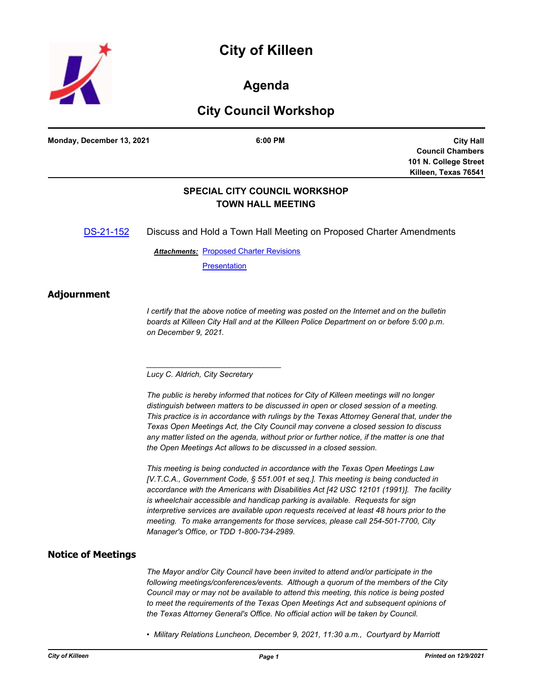

# **Agenda**

# **City Council Workshop**

**Monday, December 13, 2021 6:00 PM**

**City Hall Council Chambers 101 N. College Street Killeen, Texas 76541**

### **SPECIAL CITY COUNCIL WORKSHOP TOWN HALL MEETING**

[DS-21-152](http://killeen.legistar.com/gateway.aspx?m=l&id=/matter.aspx?key=5849) Discuss and Hold a Town Hall Meeting on Proposed Charter Amendments

**Attachments: [Proposed Charter Revisions](http://killeen.legistar.com/gateway.aspx?M=F&ID=b34444af-5823-40aa-baa9-020fc6d0c6d1.pdf)** 

**[Presentation](http://killeen.legistar.com/gateway.aspx?M=F&ID=970f24ad-5136-425d-be4f-9fb410bd5316.pdf)** 

#### **Adjournment**

*I* certify that the above notice of meeting was posted on the Internet and on the bulletin *boards at Killeen City Hall and at the Killeen Police Department on or before 5:00 p.m. on December 9, 2021.*

*Lucy C. Aldrich, City Secretary* 

*\_\_\_\_\_\_\_\_\_\_\_\_\_\_\_\_\_\_\_\_\_\_\_\_\_\_\_\_\_\_\_*

*The public is hereby informed that notices for City of Killeen meetings will no longer distinguish between matters to be discussed in open or closed session of a meeting. This practice is in accordance with rulings by the Texas Attorney General that, under the Texas Open Meetings Act, the City Council may convene a closed session to discuss any matter listed on the agenda, without prior or further notice, if the matter is one that the Open Meetings Act allows to be discussed in a closed session.*

*This meeting is being conducted in accordance with the Texas Open Meetings Law [V.T.C.A., Government Code, § 551.001 et seq.]. This meeting is being conducted in accordance with the Americans with Disabilities Act [42 USC 12101 (1991)]. The facility is wheelchair accessible and handicap parking is available. Requests for sign interpretive services are available upon requests received at least 48 hours prior to the meeting. To make arrangements for those services, please call 254-501-7700, City Manager's Office, or TDD 1-800-734-2989.*

### **Notice of Meetings**

*The Mayor and/or City Council have been invited to attend and/or participate in the following meetings/conferences/events. Although a quorum of the members of the City Council may or may not be available to attend this meeting, this notice is being posted to meet the requirements of the Texas Open Meetings Act and subsequent opinions of the Texas Attorney General's Office. No official action will be taken by Council.*

*• Military Relations Luncheon, December 9, 2021, 11:30 a.m., Courtyard by Marriott*